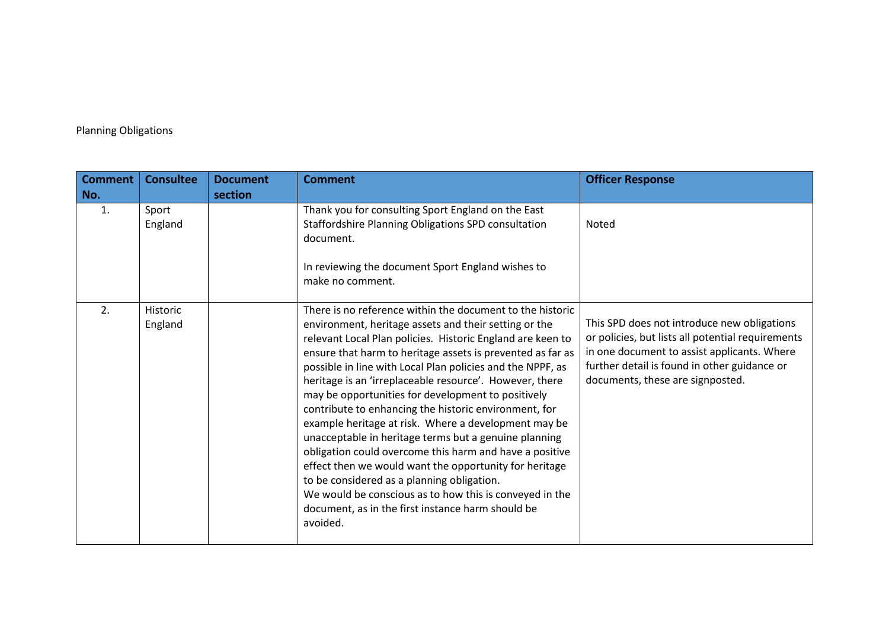## Planning Obligations

| <b>Comment</b> | <b>Consultee</b>           | <b>Document</b> | <b>Comment</b>                                                                                                                                                                                                                                                                                                                                                                                                                                                                                                                                                                                                                                                                                                                                                                                                                                                                                         | <b>Officer Response</b>                                                                                                                                                                                                             |
|----------------|----------------------------|-----------------|--------------------------------------------------------------------------------------------------------------------------------------------------------------------------------------------------------------------------------------------------------------------------------------------------------------------------------------------------------------------------------------------------------------------------------------------------------------------------------------------------------------------------------------------------------------------------------------------------------------------------------------------------------------------------------------------------------------------------------------------------------------------------------------------------------------------------------------------------------------------------------------------------------|-------------------------------------------------------------------------------------------------------------------------------------------------------------------------------------------------------------------------------------|
| No.            |                            | section         |                                                                                                                                                                                                                                                                                                                                                                                                                                                                                                                                                                                                                                                                                                                                                                                                                                                                                                        |                                                                                                                                                                                                                                     |
| 1.             | Sport<br>England           |                 | Thank you for consulting Sport England on the East<br>Staffordshire Planning Obligations SPD consultation<br>document.<br>In reviewing the document Sport England wishes to<br>make no comment.                                                                                                                                                                                                                                                                                                                                                                                                                                                                                                                                                                                                                                                                                                        | Noted                                                                                                                                                                                                                               |
| 2.             | <b>Historic</b><br>England |                 | There is no reference within the document to the historic<br>environment, heritage assets and their setting or the<br>relevant Local Plan policies. Historic England are keen to<br>ensure that harm to heritage assets is prevented as far as<br>possible in line with Local Plan policies and the NPPF, as<br>heritage is an 'irreplaceable resource'. However, there<br>may be opportunities for development to positively<br>contribute to enhancing the historic environment, for<br>example heritage at risk. Where a development may be<br>unacceptable in heritage terms but a genuine planning<br>obligation could overcome this harm and have a positive<br>effect then we would want the opportunity for heritage<br>to be considered as a planning obligation.<br>We would be conscious as to how this is conveyed in the<br>document, as in the first instance harm should be<br>avoided. | This SPD does not introduce new obligations<br>or policies, but lists all potential requirements<br>in one document to assist applicants. Where<br>further detail is found in other guidance or<br>documents, these are signposted. |